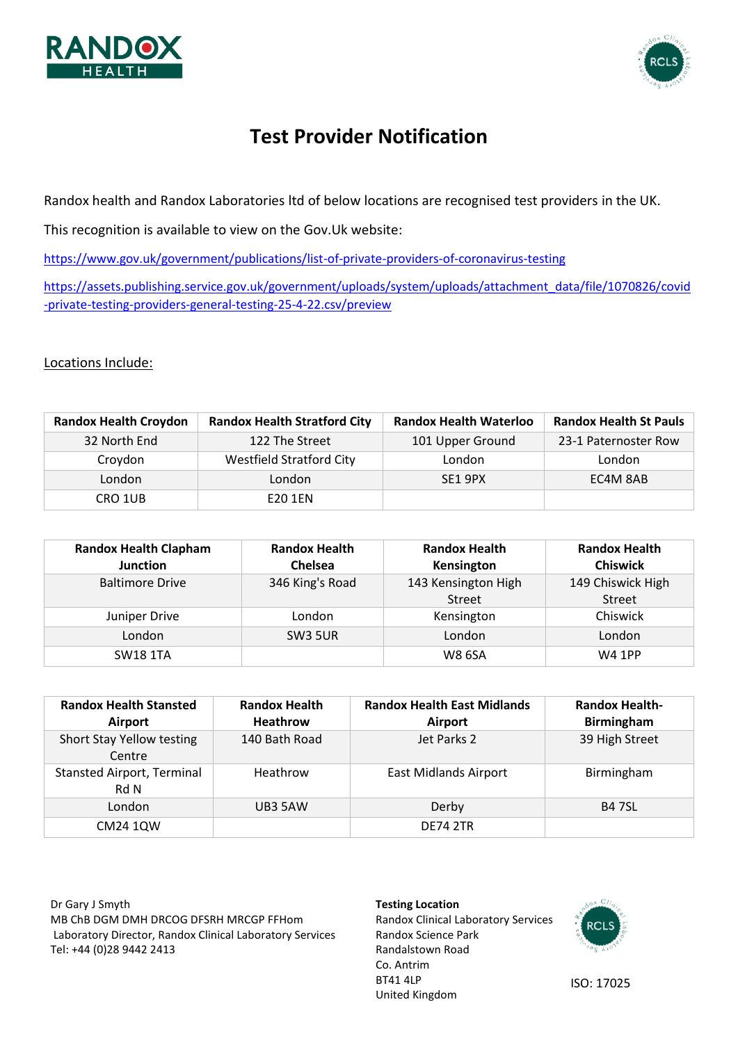



# **Test Provider Notification**

Randox health and Randox Laboratories ltd of below locations are recognised test providers in the UK.

This recognition is available to view on the Gov.Uk website:

<https://www.gov.uk/government/publications/list-of-private-providers-of-coronavirus-testing>

[https://assets.publishing.service.gov.uk/government/uploads/system/uploads/attachment\\_data/file/1070826/covid](https://assets.publishing.service.gov.uk/government/uploads/system/uploads/attachment_data/file/1070826/covid-private-testing-providers-general-testing-25-4-22.csv/preview) [-private-testing-providers-general-testing-25-4-22.csv/preview](https://assets.publishing.service.gov.uk/government/uploads/system/uploads/attachment_data/file/1070826/covid-private-testing-providers-general-testing-25-4-22.csv/preview)

Locations Include:

| <b>Randox Health Croydon</b> | <b>Randox Health Stratford City</b> | <b>Randox Health Waterloo</b> | <b>Randox Health St Pauls</b> |
|------------------------------|-------------------------------------|-------------------------------|-------------------------------|
| 32 North End                 | 122 The Street                      | 101 Upper Ground              | 23-1 Paternoster Row          |
| Croydon                      | <b>Westfield Stratford City</b>     | London                        | London                        |
| London                       | London                              | SE1 9PX                       | EC4M 8AB                      |
| CRO 1UB                      | E20 1EN                             |                               |                               |

| <b>Randox Health Clapham</b> | <b>Randox Health</b> | <b>Randox Health</b> | <b>Randox Health</b> |
|------------------------------|----------------------|----------------------|----------------------|
| <b>Junction</b>              | Chelsea              | Kensington           | <b>Chiswick</b>      |
| <b>Baltimore Drive</b>       | 346 King's Road      | 143 Kensington High  | 149 Chiswick High    |
|                              |                      | <b>Street</b>        | Street               |
| Juniper Drive                | London               | Kensington           | Chiswick             |
| London                       | SW <sub>3</sub> 5UR  | London               | London               |
| <b>SW18 1TA</b>              |                      | <b>W8 6SA</b>        | <b>W4 1PP</b>        |

| <b>Randox Health Stansted</b><br><b>Airport</b> | <b>Randox Health</b><br><b>Heathrow</b> | <b>Randox Health East Midlands</b><br>Airport | <b>Randox Health-</b><br><b>Birmingham</b> |
|-------------------------------------------------|-----------------------------------------|-----------------------------------------------|--------------------------------------------|
| Short Stay Yellow testing<br>Centre             | 140 Bath Road                           | Jet Parks 2                                   | 39 High Street                             |
| <b>Stansted Airport, Terminal</b><br>Rd N       | Heathrow                                | <b>East Midlands Airport</b>                  | Birmingham                                 |
| London                                          | UB3 5AW                                 | Derby                                         | <b>B47SL</b>                               |
| CM24 10W                                        |                                         | <b>DE74 2TR</b>                               |                                            |

Dr Gary J Smyth MB ChB DGM DMH DRCOG DFSRH MRCGP FFHom Laboratory Director, Randox Clinical Laboratory Services Tel: +44 (0)28 9442 2413

#### **Testing Location**

Randox Clinical Laboratory Services Randox Science Park Randalstown Road Co. Antrim BT41 4LP United Kingdom



ISO: 17025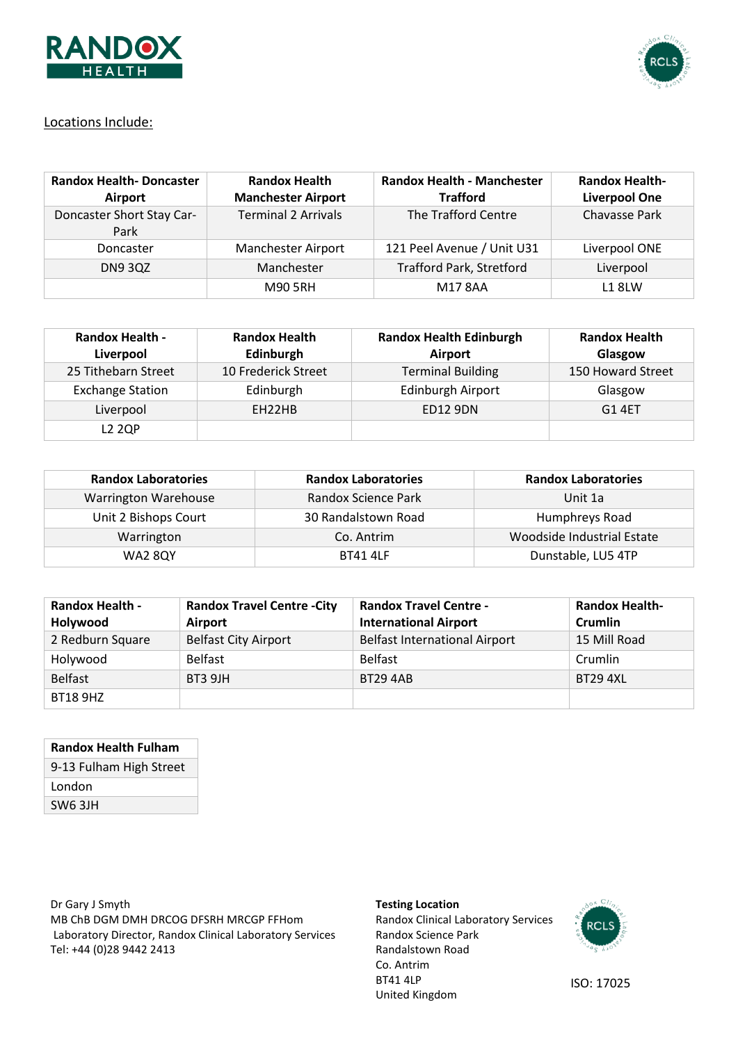



## Locations Include:

| <b>Randox Health-Doncaster</b><br>Airport | <b>Randox Health</b><br><b>Manchester Airport</b> | <b>Randox Health - Manchester</b><br><b>Trafford</b> | <b>Randox Health-</b><br><b>Liverpool One</b> |
|-------------------------------------------|---------------------------------------------------|------------------------------------------------------|-----------------------------------------------|
| Doncaster Short Stay Car-<br>Park         | <b>Terminal 2 Arrivals</b>                        | The Trafford Centre                                  | Chavasse Park                                 |
| Doncaster                                 | Manchester Airport                                | 121 Peel Avenue / Unit U31                           | Liverpool ONE                                 |
| <b>DN9 3QZ</b>                            | Manchester                                        | <b>Trafford Park, Stretford</b>                      | Liverpool                                     |
|                                           | <b>M90 5RH</b>                                    | M178AA                                               | <b>L18LW</b>                                  |

| <b>Randox Health -</b><br>Liverpool | <b>Randox Health</b><br>Edinburgh | <b>Randox Health Edinburgh</b><br>Airport | <b>Randox Health</b><br>Glasgow |
|-------------------------------------|-----------------------------------|-------------------------------------------|---------------------------------|
| 25 Tithebarn Street                 | 10 Frederick Street               | <b>Terminal Building</b>                  | 150 Howard Street               |
| <b>Exchange Station</b>             | Edinburgh                         | Edinburgh Airport                         | Glasgow                         |
| Liverpool                           | EH <sub>22</sub> HB               | <b>ED12 9DN</b>                           | G1 4FT                          |
| <b>L2 2QP</b>                       |                                   |                                           |                                 |

| <b>Randox Laboratories</b> | <b>Randox Laboratories</b> | <b>Randox Laboratories</b> |
|----------------------------|----------------------------|----------------------------|
| Warrington Warehouse       | Randox Science Park        | Unit 1a                    |
| Unit 2 Bishops Court       | 30 Randalstown Road        | Humphreys Road             |
| Warrington                 | Co. Antrim                 | Woodside Industrial Estate |
| <b>WA2 8QY</b>             | <b>BT41 4LF</b>            | Dunstable, LU5 4TP         |

| <b>Randox Health -</b><br>Holywood | <b>Randox Travel Centre - City</b><br>Airport | <b>Randox Travel Centre -</b><br><b>International Airport</b> | <b>Randox Health-</b><br>Crumlin |
|------------------------------------|-----------------------------------------------|---------------------------------------------------------------|----------------------------------|
| 2 Redburn Square                   | <b>Belfast City Airport</b>                   | <b>Belfast International Airport</b>                          | 15 Mill Road                     |
| Holywood                           | <b>Belfast</b>                                | <b>Belfast</b>                                                | Crumlin                          |
| <b>Belfast</b>                     | <b>BT3 9JH</b>                                | <b>BT29 4AB</b>                                               | <b>BT29 4XL</b>                  |
| <b>BT18 9HZ</b>                    |                                               |                                                               |                                  |

| <b>Randox Health Fulham</b> |  |  |
|-----------------------------|--|--|
| 9-13 Fulham High Street     |  |  |
| London                      |  |  |
| SW6 3JH                     |  |  |

Dr Gary J Smyth MB ChB DGM DMH DRCOG DFSRH MRCGP FFHom Laboratory Director, Randox Clinical Laboratory Services Tel: +44 (0)28 9442 2413

#### **Testing Location**

Randox Clinical Laboratory Services Randox Science Park Randalstown Road Co. Antrim BT41 4LP United Kingdom



ISO: 17025